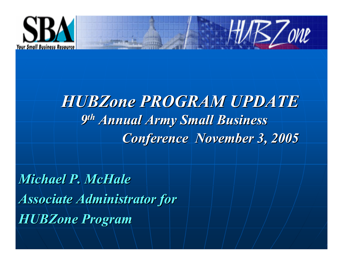

### *HUBZone PROGRAM UPDATE 9th Annual Army Small Business Conference November 3, 2005*

 $H\!M\!EZ$ one

*Michael P. McHaleAssociate Administrator for HUBZone Program*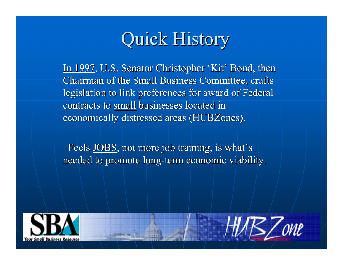## Quick History

In 1997, U.S. Senator Christopher 'Kit' Bond, then Chairman of the Small Business Committee, crafts legislation to link preferences for award of Federal contracts to small businesses located in economically distressed areas (HUBZones).

Feels JOBS, not more job training, is what's needed to promote long-term economic viability.



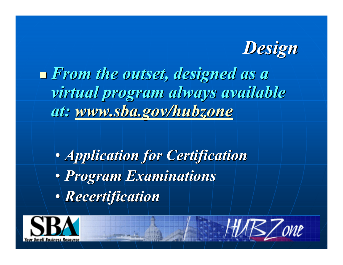

 *From the outset, designed as <sup>a</sup> virtual program [always](http://www.sba.gov/hubzone) available at: www.sba.gov/hubzone*

 $\bullet$  *Application for Certification*  $\bullet$  *Program Examinations*  $\bullet$ *Recertification*

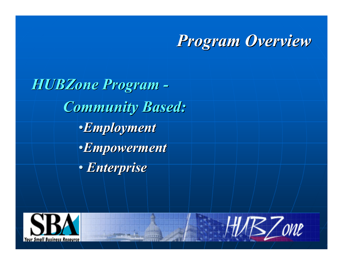### *Program Overview*

*HUBZone Program - Community Based:* •*Employment* •*Empowerment* • *Enterprise*



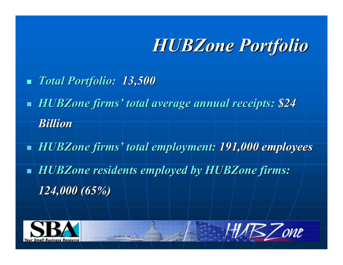### *HUBZone Portfolio*

- $\mathbb{R}^2$ *Total Portfolio: 13,500*
- L. *HUBZone firms' total average annual receipts: \$24 Billion*
- П *HUBZone firms' total employment: 191,000 employees*
- П *HUBZone residents employed by HUBZone firms: 124,000 (65%)*



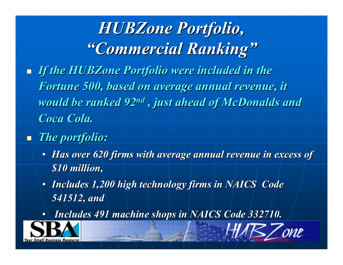## *HUBZone Portfolio, "Commercial Ranking"*

- *If the HUBZone Portfolio were included in the Fortune 500, based on average annual revenue, it would be ranked 92nd , just ahead of McDonalds and Coca Cola.*
- *The portfolio:*
	- *Has over 620 firms with average annual revenue in excess of \$10 million,*
	- *Includes 1,200 high technology firms in NAICS Code 541512, and*
	- *Includes 491 machine shops in NAICS Code 332710.*

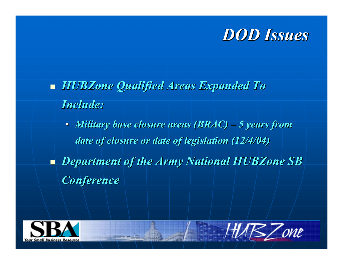

- *HUBZone Qualified Areas Expanded To Include:*
	- *Military base closure areas (BRAC) – 5 years from date of closure or date of legislation (12/4/04)*
- *Department of the Army National HUBZone SB Conference*



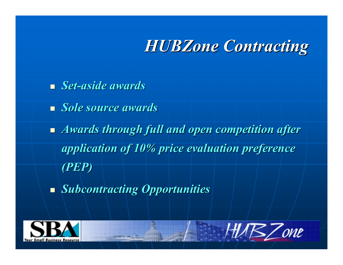### *HUBZone Contracting*

*Set-aside awards*

*Sole source awards*

 *Awards through full and open competition after application of 10% price evaluation preference (PEP)*

*Subcontracting Opportunities*



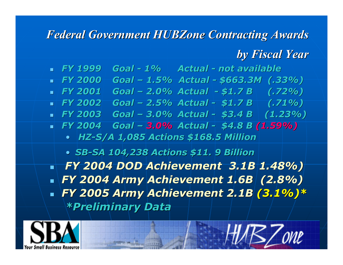#### *Federal Government HUBZone Contracting Awards*

#### *by Fiscal Year*

B.Zone

 *FY 1999 Goal - 1% Actual - not available FY 2000 Goal – 1.5% Actual - \$663.3M (.33%) FY 2001 Goal – 2.0% Actual - \$1.7 B (.72%) FY 2002 Goal – 2.5% Actual - \$1.7 B (.71%) FY 2003 Goal – 3.0% Actual - \$3.4 B (1.23%) FY 2004 Goal – 3.0% Actual - \$4.8 B (1.59%)* • *HZ-S/A 1,085 Actions \$168.5 Million* • *SB-SA 104,238 Actions \$11. 9 Billion FY 2004 DOD Achievement 3.1B 1.48%) FY 2004 Army Achievement 1.6B (2.8%) FY 2005 Army Achievement 2.1B (3.1%)\* \*Preliminary Data*

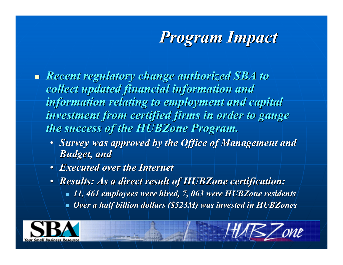## *Program Impact*

- *Recent regulatory change authorized SBA to collect updated financial information and information relating to employment and capital investment from certified firms in order to gauge the success of the HUBZone Program.*
	- *Survey was approved by the Office of Management and Budget, and*
	- *Executed over the Internet*
	- *Results: As a direct result of HUBZone certification:*
		- *11, 461 employees were hired, 7, 063 were HUBZone residents*
		- $\overline{\phantom{0}}$ *Over <sup>a</sup> half billion dollars (\$523M) was invested in HUBZones*